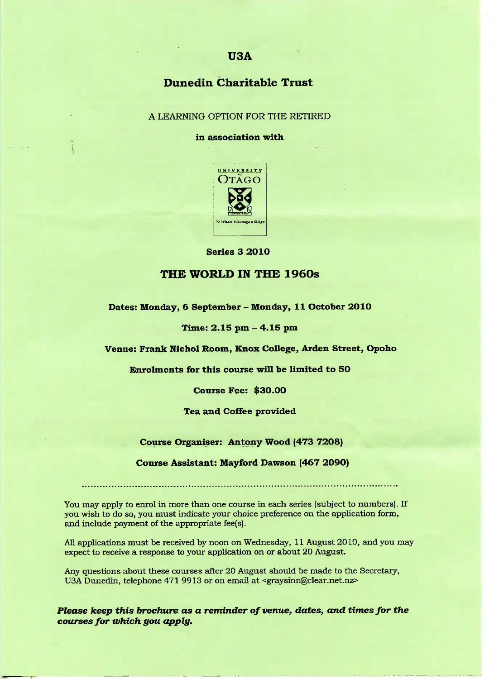# **Dunedin Charitable Trust**

#### A LEARNING OPTION FOR THE RETIRED

#### **in association with**



Series 3 2010

### **THE WORLD IN THE 1960s**

**Dates: Monday, 6 September - Monday, 11 October 2010**

#### **Time: 2.15 pm - 4.15 pm**

**Venue: Frank Nichol Room, Knox College, Arden Street, Opoho**

**Enrolments for this course will be limited to 5O**

**Course Fee: \$3O.OO**

**Tea and Coffee provided**

#### **Course Organiser: Antony Wood (473 72O8)**

#### **Course Assistant: Mayford Dawson (467 2090)**

You may apply to enrol in more than one course in each series (subject to numbers). If you wish to do so, you must indicate your choice preference on the application form, and include payment of the appropriate fee(s).

All applications must be received by noon on Wednesday, 11 August 2010, and you may expect to receive a response to your application on or about 20 August.

Any questions about these courses after 20 August should be made to the Secretary, USA Dunedin, telephone 471 9913 or on email at <graysinn@clear.net.nz>

*Please keep this brochure as* **a** *reminder of venue, dates, and times for the courses for which you apply.*